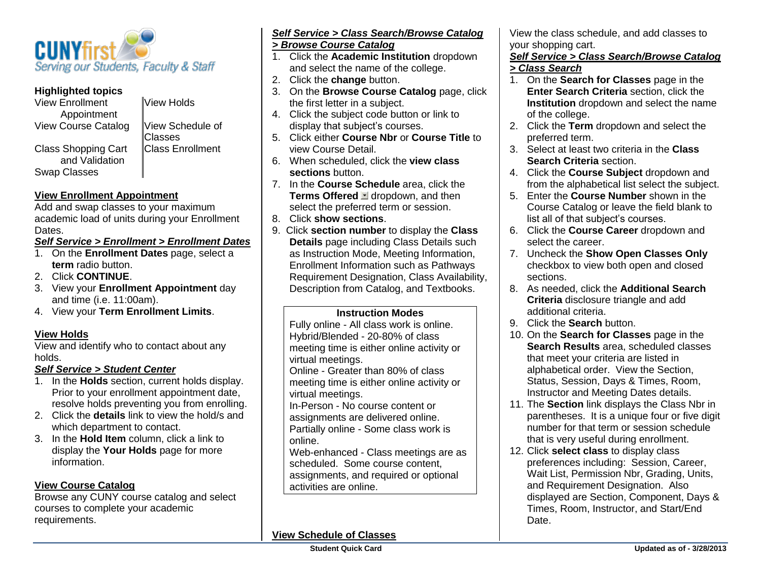

### **Highlighted topics**

| <b>View Enrollment</b>     | <b>View Holds</b>       |
|----------------------------|-------------------------|
| Appointment                |                         |
| <b>View Course Catalog</b> | View Schedule of        |
|                            | <b>Classes</b>          |
| <b>Class Shopping Cart</b> | <b>Class Enrollment</b> |
| and Validation             |                         |
| <b>Swap Classes</b>        |                         |

# **View Enrollment Appointment**

Add and swap classes to your maximum academic load of units during your Enrollment Dates.

### *Self Service > Enrollment > Enrollment Dates*

- 1. On the **Enrollment Dates** page, select a **term** radio button.
- 2. Click **CONTINUE**.
- 3. View your **Enrollment Appointment** day and time (i.e. 11:00am).
- 4. View your **Term Enrollment Limits**.

### **View Holds**

View and identify who to contact about any holds.

### *Self Service > Student Center*

- 1. In the **Holds** section, current holds display. Prior to your enrollment appointment date, resolve holds preventing you from enrolling.
- 2. Click the **details** link to view the hold/s and which department to contact.
- 3. In the **Hold Item** column, click a link to display the **Your Holds** page for more information.

### **View Course Catalog**

Browse any CUNY course catalog and select courses to complete your academic requirements.

### *Self Service > Class Search/Browse Catalog > Browse Course Catalog*

- 1. Click the **Academic Institution** dropdown and select the name of the college.
- 2. Click the **change** button.
- 3. On the **Browse Course Catalog** page, click the first letter in a subject.
- 4. Click the subject code button or link to display that subject's courses.
- 5. Click either **Course Nbr** or **Course Title** to view Course Detail.
- 6. When scheduled, click the **view class sections** button.
- 7. In the **Course Schedule** area, click the **Terms Offered dropdown, and then** select the preferred term or session.
- 8. Click **show sections**.
- 9. Click **section number** to display the **Class Details** page including Class Details such as Instruction Mode, Meeting Information, Enrollment Information such as Pathways Requirement Designation, Class Availability, Description from Catalog, and Textbooks.

#### **Instruction Modes**

Fully online - All class work is online. Hybrid/Blended - 20-80% of class meeting time is either online activity or virtual meetings. Online - Greater than 80% of class meeting time is either online activity or virtual meetings. In-Person - No course content or assignments are delivered online. Partially online - Some class work is

online.

Web-enhanced - Class meetings are as scheduled. Some course content, assignments, and required or optional activities are online.

### **View Schedule of Classes**

View the class schedule, and add classes to your shopping cart.

#### *Self Service > Class Search/Browse Catalog > Class Search*

- 1. On the **Search for Classes** page in the **Enter Search Criteria** section, click the **Institution** dropdown and select the name of the college.
- 2. Click the **Term** dropdown and select the preferred term.
- 3. Select at least two criteria in the **Class Search Criteria** section.
- 4. Click the **Course Subject** dropdown and from the alphabetical list select the subject.
- 5. Enter the **Course Number** shown in the Course Catalog or leave the field blank to list all of that subject's courses.
- 6. Click the **Course Career** dropdown and select the career.
- 7. Uncheck the **Show Open Classes Only**  checkbox to view both open and closed sections.
- 8. As needed, click the **Additional Search Criteria** disclosure triangle and add additional criteria.
- 9. Click the **Search** button.
- 10. On the **Search for Classes** page in the **Search Results** area, scheduled classes that meet your criteria are listed in alphabetical order. View the Section, Status, Session, Days & Times, Room, Instructor and Meeting Dates details.
- 11. The **Section** link displays the Class Nbr in parentheses. It is a unique four or five digit number for that term or session schedule that is very useful during enrollment.
- 12. Click **select class** to display class preferences including: Session, Career, Wait List, Permission Nbr, Grading, Units, and Requirement Designation. Also displayed are Section, Component, Days & Times, Room, Instructor, and Start/End **Date**